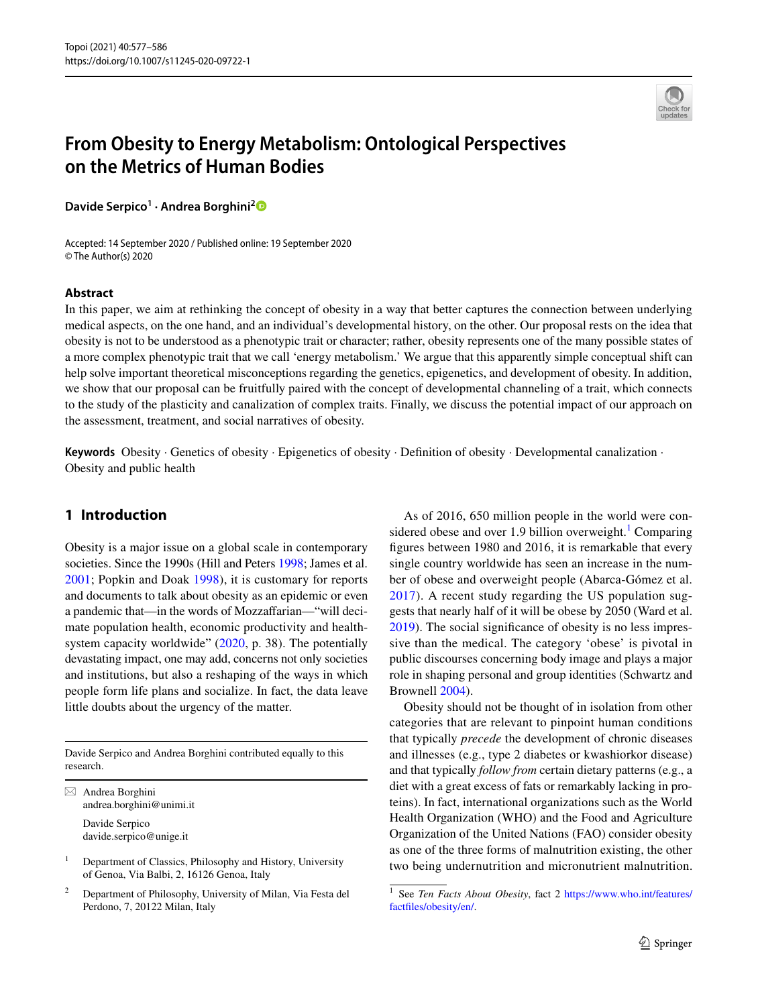

# **From Obesity to Energy Metabolism: Ontological Perspectives on the Metrics of Human Bodies**

**Davide Serpico<sup>1</sup> · Andrea Borghini[2](http://orcid.org/0000-0002-2239-1482)**

Accepted: 14 September 2020 / Published online: 19 September 2020 © The Author(s) 2020

#### **Abstract**

In this paper, we aim at rethinking the concept of obesity in a way that better captures the connection between underlying medical aspects, on the one hand, and an individual's developmental history, on the other. Our proposal rests on the idea that obesity is not to be understood as a phenotypic trait or character; rather, obesity represents one of the many possible states of a more complex phenotypic trait that we call 'energy metabolism.' We argue that this apparently simple conceptual shift can help solve important theoretical misconceptions regarding the genetics, epigenetics, and development of obesity. In addition, we show that our proposal can be fruitfully paired with the concept of developmental channeling of a trait, which connects to the study of the plasticity and canalization of complex traits. Finally, we discuss the potential impact of our approach on the assessment, treatment, and social narratives of obesity.

**Keywords** Obesity · Genetics of obesity · Epigenetics of obesity · Defnition of obesity · Developmental canalization · Obesity and public health

# <span id="page-0-1"></span>**1 Introduction**

Obesity is a major issue on a global scale in contemporary societies. Since the 1990s (Hill and Peters [1998;](#page-9-0) James et al. [2001;](#page-9-1) Popkin and Doak [1998](#page-9-2)), it is customary for reports and documents to talk about obesity as an epidemic or even a pandemic that—in the words of Mozzafarian—"will decimate population health, economic productivity and healthsystem capacity worldwide" [\(2020,](#page-9-3) p. 38). The potentially devastating impact, one may add, concerns not only societies and institutions, but also a reshaping of the ways in which people form life plans and socialize. In fact, the data leave little doubts about the urgency of the matter.

Davide Serpico and Andrea Borghini contributed equally to this research.

 $\boxtimes$  Andrea Borghini andrea.borghini@unimi.it Davide Serpico

davide.serpico@unige.it

<sup>1</sup> Department of Classics, Philosophy and History, University of Genoa, Via Balbi, 2, 16126 Genoa, Italy

<sup>2</sup> Department of Philosophy, University of Milan, Via Festa del Perdono, 7, 20122 Milan, Italy

As of 2016, 650 million people in the world were con-sidered obese and over [1](#page-0-0).9 billion overweight.<sup>1</sup> Comparing fgures between 1980 and 2016, it is remarkable that every single country worldwide has seen an increase in the number of obese and overweight people (Abarca-Gómez et al. [2017\)](#page-8-0). A recent study regarding the US population suggests that nearly half of it will be obese by 2050 (Ward et al. [2019](#page-9-4)). The social signifcance of obesity is no less impressive than the medical. The category 'obese' is pivotal in public discourses concerning body image and plays a major role in shaping personal and group identities (Schwartz and Brownell [2004](#page-9-5)).

Obesity should not be thought of in isolation from other categories that are relevant to pinpoint human conditions that typically *precede* the development of chronic diseases and illnesses (e.g., type 2 diabetes or kwashiorkor disease) and that typically *follow from* certain dietary patterns (e.g., a diet with a great excess of fats or remarkably lacking in proteins). In fact, international organizations such as the World Health Organization (WHO) and the Food and Agriculture Organization of the United Nations (FAO) consider obesity as one of the three forms of malnutrition existing, the other two being undernutrition and micronutrient malnutrition.

<span id="page-0-0"></span><sup>&</sup>lt;sup>1</sup> See *Ten Facts About Obesity*, fact 2 [https://www.who.int/features/](https://www.who.int/features/factfiles/obesity/en/) [factfiles/obesity/en/.](https://www.who.int/features/factfiles/obesity/en/)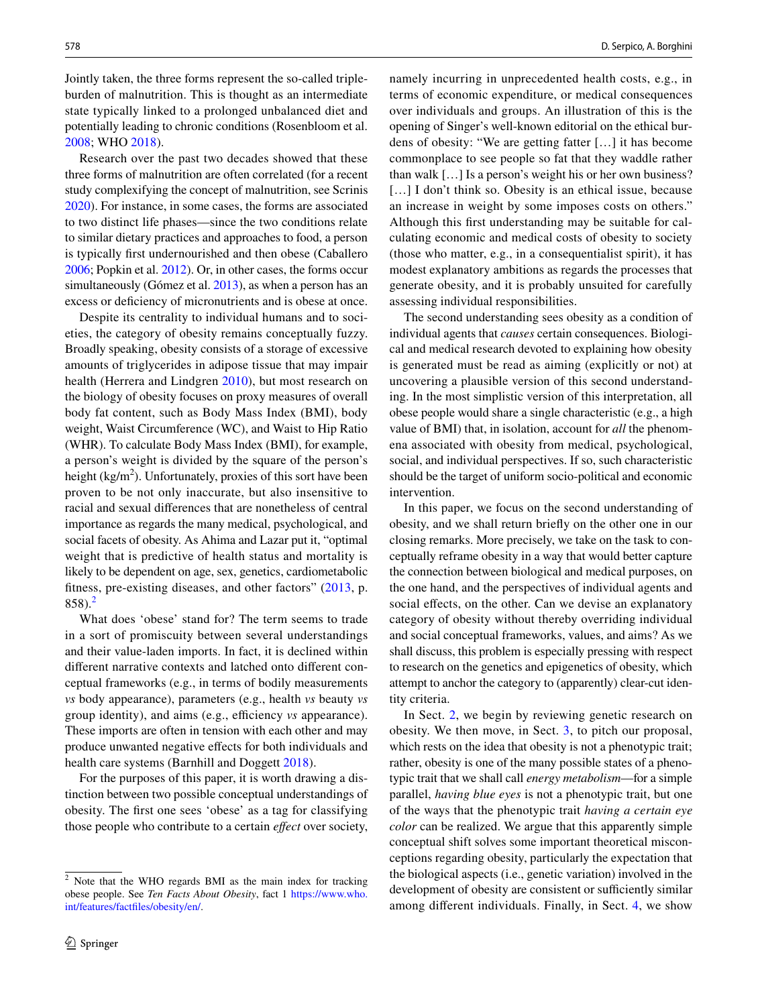Jointly taken, the three forms represent the so-called tripleburden of malnutrition. This is thought as an intermediate state typically linked to a prolonged unbalanced diet and potentially leading to chronic conditions (Rosenbloom et al. [2008](#page-9-6); WHO [2018](#page-9-7)).

Research over the past two decades showed that these three forms of malnutrition are often correlated (for a recent study complexifying the concept of malnutrition, see Scrinis [2020](#page-9-8)). For instance, in some cases, the forms are associated to two distinct life phases—since the two conditions relate to similar dietary practices and approaches to food, a person is typically frst undernourished and then obese (Caballero [2006;](#page-8-1) Popkin et al. [2012\)](#page-9-9). Or, in other cases, the forms occur simultaneously (Gómez et al. [2013](#page-9-10)), as when a person has an excess or defciency of micronutrients and is obese at once.

Despite its centrality to individual humans and to societies, the category of obesity remains conceptually fuzzy. Broadly speaking, obesity consists of a storage of excessive amounts of triglycerides in adipose tissue that may impair health (Herrera and Lindgren [2010\)](#page-9-11), but most research on the biology of obesity focuses on proxy measures of overall body fat content, such as Body Mass Index (BMI), body weight, Waist Circumference (WC), and Waist to Hip Ratio (WHR). To calculate Body Mass Index (BMI), for example, a person's weight is divided by the square of the person's height  $(kg/m<sup>2</sup>)$ . Unfortunately, proxies of this sort have been proven to be not only inaccurate, but also insensitive to racial and sexual diferences that are nonetheless of central importance as regards the many medical, psychological, and social facets of obesity. As Ahima and Lazar put it, "optimal weight that is predictive of health status and mortality is likely to be dependent on age, sex, genetics, cardiometabolic ftness, pre-existing diseases, and other factors" [\(2013](#page-8-2), p.  $858$ ).<sup>[2](#page-1-0)</sup>

What does 'obese' stand for? The term seems to trade in a sort of promiscuity between several understandings and their value-laden imports. In fact, it is declined within diferent narrative contexts and latched onto diferent conceptual frameworks (e.g., in terms of bodily measurements *vs* body appearance), parameters (e.g., health *vs* beauty *vs* group identity), and aims (e.g., efficiency *vs* appearance). These imports are often in tension with each other and may produce unwanted negative efects for both individuals and health care systems (Barnhill and Doggett [2018\)](#page-8-3).

For the purposes of this paper, it is worth drawing a distinction between two possible conceptual understandings of obesity. The frst one sees 'obese' as a tag for classifying those people who contribute to a certain *efect* over society,

namely incurring in unprecedented health costs, e.g., in terms of economic expenditure, or medical consequences over individuals and groups. An illustration of this is the opening of Singer's well-known editorial on the ethical burdens of obesity: "We are getting fatter […] it has become commonplace to see people so fat that they waddle rather than walk […] Is a person's weight his or her own business? [...] I don't think so. Obesity is an ethical issue, because an increase in weight by some imposes costs on others." Although this frst understanding may be suitable for calculating economic and medical costs of obesity to society (those who matter, e.g., in a consequentialist spirit), it has modest explanatory ambitions as regards the processes that generate obesity, and it is probably unsuited for carefully assessing individual responsibilities.

The second understanding sees obesity as a condition of individual agents that *causes* certain consequences. Biological and medical research devoted to explaining how obesity is generated must be read as aiming (explicitly or not) at uncovering a plausible version of this second understanding. In the most simplistic version of this interpretation, all obese people would share a single characteristic (e.g., a high value of BMI) that, in isolation, account for *all* the phenomena associated with obesity from medical, psychological, social, and individual perspectives. If so, such characteristic should be the target of uniform socio-political and economic intervention.

In this paper, we focus on the second understanding of obesity, and we shall return briefy on the other one in our closing remarks. More precisely, we take on the task to conceptually reframe obesity in a way that would better capture the connection between biological and medical purposes, on the one hand, and the perspectives of individual agents and social effects, on the other. Can we devise an explanatory category of obesity without thereby overriding individual and social conceptual frameworks, values, and aims? As we shall discuss, this problem is especially pressing with respect to research on the genetics and epigenetics of obesity, which attempt to anchor the category to (apparently) clear-cut identity criteria.

In Sect. [2](#page-2-0), we begin by reviewing genetic research on obesity. We then move, in Sect. [3,](#page-3-0) to pitch our proposal, which rests on the idea that obesity is not a phenotypic trait; rather, obesity is one of the many possible states of a phenotypic trait that we shall call *energy metabolism*—for a simple parallel, *having blue eyes* is not a phenotypic trait, but one of the ways that the phenotypic trait *having a certain eye color* can be realized. We argue that this apparently simple conceptual shift solves some important theoretical misconceptions regarding obesity, particularly the expectation that the biological aspects (i.e., genetic variation) involved in the development of obesity are consistent or sufficiently similar among diferent individuals. Finally, in Sect. [4](#page-5-0), we show

<span id="page-1-0"></span><sup>2</sup> Note that the WHO regards BMI as the main index for tracking obese people. See *Ten Facts About Obesity*, fact 1 [https://www.who.](https://www.who.int/features/factfiles/obesity/en/) [int/features/factfiles/obesity/en/.](https://www.who.int/features/factfiles/obesity/en/)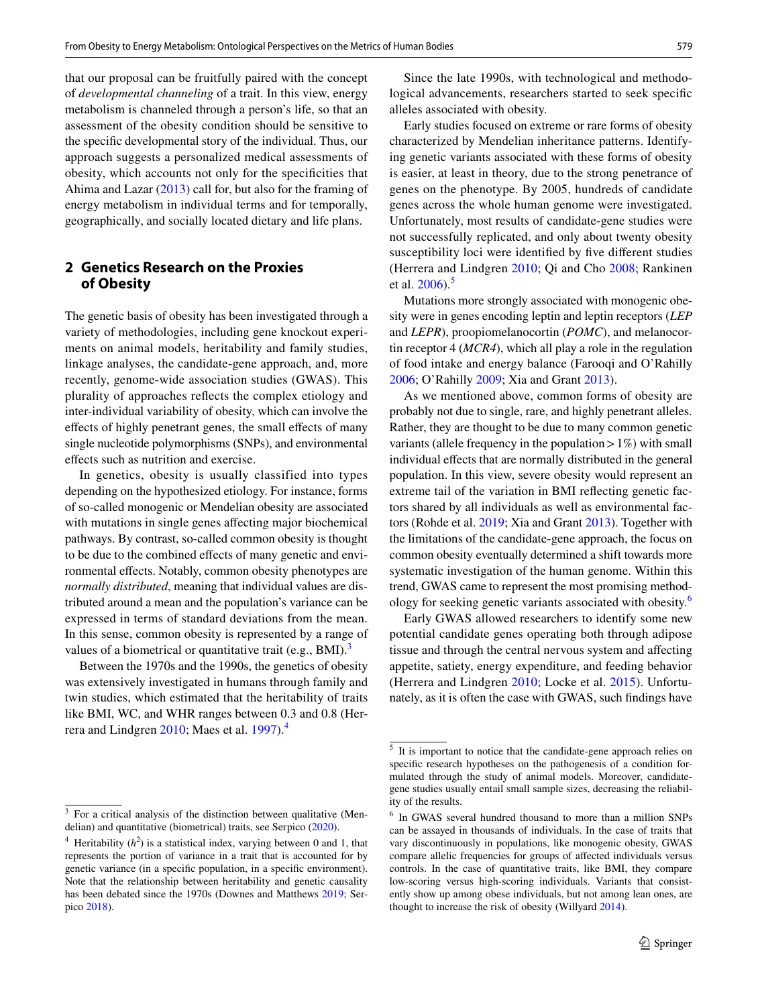that our proposal can be fruitfully paired with the concept of *developmental channeling* of a trait. In this view, energy metabolism is channeled through a person's life, so that an assessment of the obesity condition should be sensitive to the specifc developmental story of the individual. Thus, our approach suggests a personalized medical assessments of obesity, which accounts not only for the specifcities that Ahima and Lazar [\(2013](#page-8-2)) call for, but also for the framing of energy metabolism in individual terms and for temporally, geographically, and socially located dietary and life plans.

# <span id="page-2-0"></span>**2 Genetics Research on the Proxies of Obesity**

The genetic basis of obesity has been investigated through a variety of methodologies, including gene knockout experiments on animal models, heritability and family studies, linkage analyses, the candidate-gene approach, and, more recently, genome-wide association studies (GWAS). This plurality of approaches refects the complex etiology and inter-individual variability of obesity, which can involve the effects of highly penetrant genes, the small effects of many single nucleotide polymorphisms (SNPs), and environmental efects such as nutrition and exercise.

In genetics, obesity is usually classified into types depending on the hypothesized etiology. For instance, forms of so-called monogenic or Mendelian obesity are associated with mutations in single genes affecting major biochemical pathways. By contrast, so-called common obesity is thought to be due to the combined efects of many genetic and environmental efects. Notably, common obesity phenotypes are *normally distributed*, meaning that individual values are distributed around a mean and the population's variance can be expressed in terms of standard deviations from the mean. In this sense, common obesity is represented by a range of values of a biometrical or quantitative trait (e.g.,  $BMI$ ).<sup>[3](#page-2-1)</sup>

Between the 1970s and the 1990s, the genetics of obesity was extensively investigated in humans through family and twin studies, which estimated that the heritability of traits like BMI, WC, and WHR ranges between 0.3 and 0.8 (Her-rera and Lindgren [2010;](#page-9-11) Maes et al. [1997\)](#page-9-12).<sup>[4](#page-2-2)</sup>

Since the late 1990s, with technological and methodological advancements, researchers started to seek specifc alleles associated with obesity.

Early studies focused on extreme or rare forms of obesity characterized by Mendelian inheritance patterns. Identifying genetic variants associated with these forms of obesity is easier, at least in theory, due to the strong penetrance of genes on the phenotype. By 2005, hundreds of candidate genes across the whole human genome were investigated. Unfortunately, most results of candidate-gene studies were not successfully replicated, and only about twenty obesity susceptibility loci were identifed by fve diferent studies (Herrera and Lindgren [2010;](#page-9-11) Qi and Cho [2008](#page-9-13); Rankinen et al.  $2006$ ).<sup>[5](#page-2-3)</sup>

Mutations more strongly associated with monogenic obesity were in genes encoding leptin and leptin receptors (*LEP* and *LEPR*), proopiomelanocortin (*POMC*), and melanocortin receptor 4 (*MCR4*), which all play a role in the regulation of food intake and energy balance (Farooqi and O'Rahilly [2006](#page-9-15); O'Rahilly [2009](#page-9-16); Xia and Grant [2013](#page-9-17)).

As we mentioned above, common forms of obesity are probably not due to single, rare, and highly penetrant alleles. Rather, they are thought to be due to many common genetic variants (allele frequency in the population  $>1\%$ ) with small individual effects that are normally distributed in the general population. In this view, severe obesity would represent an extreme tail of the variation in BMI refecting genetic factors shared by all individuals as well as environmental factors (Rohde et al. [2019;](#page-9-18) Xia and Grant [2013](#page-9-17)). Together with the limitations of the candidate-gene approach, the focus on common obesity eventually determined a shift towards more systematic investigation of the human genome. Within this trend, GWAS came to represent the most promising method-ology for seeking genetic variants associated with obesity.<sup>[6](#page-2-4)</sup>

Early GWAS allowed researchers to identify some new potential candidate genes operating both through adipose tissue and through the central nervous system and afecting appetite, satiety, energy expenditure, and feeding behavior (Herrera and Lindgren [2010;](#page-9-11) Locke et al. [2015\)](#page-9-19). Unfortunately, as it is often the case with GWAS, such fndings have

<span id="page-2-1"></span> $3$  For a critical analysis of the distinction between qualitative (Mendelian) and quantitative (biometrical) traits, see Serpico [\(2020](#page-9-20)).

<span id="page-2-2"></span><sup>&</sup>lt;sup>4</sup> Heritability  $(h^2)$  is a statistical index, varying between 0 and 1, that represents the portion of variance in a trait that is accounted for by genetic variance (in a specifc population, in a specifc environment). Note that the relationship between heritability and genetic causality has been debated since the 1970s (Downes and Matthews [2019](#page-9-21); Serpico [2018\)](#page-9-22).

<span id="page-2-3"></span> $\frac{5}{10}$  It is important to notice that the candidate-gene approach relies on specifc research hypotheses on the pathogenesis of a condition formulated through the study of animal models. Moreover, candidategene studies usually entail small sample sizes, decreasing the reliability of the results.

<span id="page-2-4"></span><sup>6</sup> In GWAS several hundred thousand to more than a million SNPs can be assayed in thousands of individuals. In the case of traits that vary discontinuously in populations, like monogenic obesity, GWAS compare allelic frequencies for groups of afected individuals versus controls. In the case of quantitative traits, like BMI, they compare low-scoring versus high-scoring individuals. Variants that consistently show up among obese individuals, but not among lean ones, are thought to increase the risk of obesity (Willyard [2014](#page-9-23)).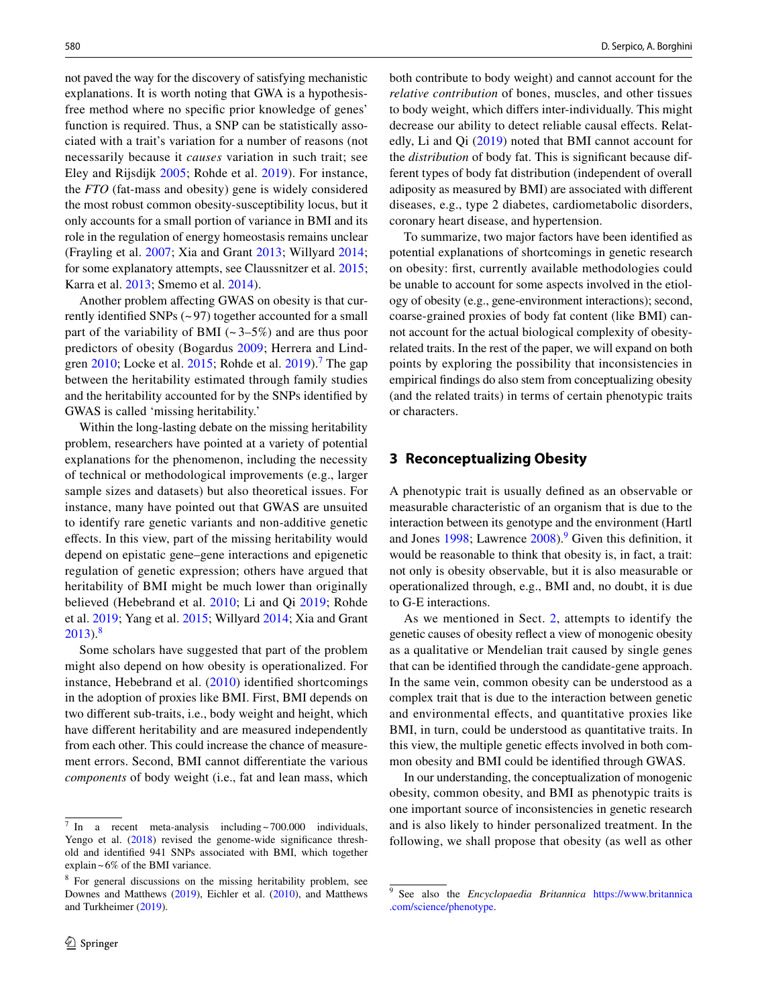not paved the way for the discovery of satisfying mechanistic explanations. It is worth noting that GWA is a hypothesisfree method where no specifc prior knowledge of genes' function is required. Thus, a SNP can be statistically associated with a trait's variation for a number of reasons (not necessarily because it *causes* variation in such trait; see Eley and Rijsdijk [2005](#page-9-24); Rohde et al. [2019](#page-9-18)). For instance, the *FTO* (fat-mass and obesity) gene is widely considered the most robust common obesity-susceptibility locus, but it only accounts for a small portion of variance in BMI and its role in the regulation of energy homeostasis remains unclear (Frayling et al. [2007;](#page-9-25) Xia and Grant [2013;](#page-9-17) Willyard [2014](#page-9-23); for some explanatory attempts, see Claussnitzer et al. [2015](#page-8-4); Karra et al. [2013;](#page-9-26) Smemo et al. [2014](#page-9-27)).

Another problem afecting GWAS on obesity is that currently identifed SNPs (~97) together accounted for a small part of the variability of BMI ( $\sim$  3–5%) and are thus poor predictors of obesity (Bogardus [2009](#page-8-5); Herrera and Lind-gren [2010;](#page-9-11) Locke et al. [2015](#page-9-19); Rohde et al. [2019](#page-9-18)).<sup>[7](#page-3-1)</sup> The gap between the heritability estimated through family studies and the heritability accounted for by the SNPs identifed by GWAS is called 'missing heritability.'

Within the long-lasting debate on the missing heritability problem, researchers have pointed at a variety of potential explanations for the phenomenon, including the necessity of technical or methodological improvements (e.g., larger sample sizes and datasets) but also theoretical issues. For instance, many have pointed out that GWAS are unsuited to identify rare genetic variants and non-additive genetic efects. In this view, part of the missing heritability would depend on epistatic gene–gene interactions and epigenetic regulation of genetic expression; others have argued that heritability of BMI might be much lower than originally believed (Hebebrand et al. [2010;](#page-9-28) Li and Qi [2019](#page-9-29); Rohde et al. [2019](#page-9-18); Yang et al. [2015;](#page-9-30) Willyard [2014](#page-9-23); Xia and Grant  $2013$ .<sup>[8](#page-3-2)</sup>

Some scholars have suggested that part of the problem might also depend on how obesity is operationalized. For instance, Hebebrand et al.  $(2010)$  $(2010)$  $(2010)$  identified shortcomings in the adoption of proxies like BMI. First, BMI depends on two diferent sub-traits, i.e., body weight and height, which have diferent heritability and are measured independently from each other. This could increase the chance of measurement errors. Second, BMI cannot diferentiate the various *components* of body weight (i.e., fat and lean mass, which both contribute to body weight) and cannot account for the *relative contribution* of bones, muscles, and other tissues to body weight, which difers inter-individually. This might decrease our ability to detect reliable causal effects. Relatedly, Li and Qi ([2019](#page-9-29)) noted that BMI cannot account for the *distribution* of body fat. This is signifcant because different types of body fat distribution (independent of overall adiposity as measured by BMI) are associated with diferent diseases, e.g., type 2 diabetes, cardiometabolic disorders, coronary heart disease, and hypertension.

To summarize, two major factors have been identifed as potential explanations of shortcomings in genetic research on obesity: frst, currently available methodologies could be unable to account for some aspects involved in the etiology of obesity (e.g., gene-environment interactions); second, coarse-grained proxies of body fat content (like BMI) cannot account for the actual biological complexity of obesityrelated traits. In the rest of the paper, we will expand on both points by exploring the possibility that inconsistencies in empirical fndings do also stem from conceptualizing obesity (and the related traits) in terms of certain phenotypic traits or characters.

### <span id="page-3-0"></span>**3 Reconceptualizing Obesity**

A phenotypic trait is usually defned as an observable or measurable characteristic of an organism that is due to the interaction between its genotype and the environment (Hartl and Jones [1998;](#page-9-31) Lawrence [2008](#page-9-32)).<sup>[9](#page-3-3)</sup> Given this definition, it would be reasonable to think that obesity is, in fact, a trait: not only is obesity observable, but it is also measurable or operationalized through, e.g., BMI and, no doubt, it is due to G-E interactions.

As we mentioned in Sect. [2,](#page-2-0) attempts to identify the genetic causes of obesity refect a view of monogenic obesity as a qualitative or Mendelian trait caused by single genes that can be identifed through the candidate-gene approach. In the same vein, common obesity can be understood as a complex trait that is due to the interaction between genetic and environmental effects, and quantitative proxies like BMI, in turn, could be understood as quantitative traits. In this view, the multiple genetic efects involved in both common obesity and BMI could be identifed through GWAS.

In our understanding, the conceptualization of monogenic obesity, common obesity, and BMI as phenotypic traits is one important source of inconsistencies in genetic research and is also likely to hinder personalized treatment. In the following, we shall propose that obesity (as well as other

<span id="page-3-1"></span><sup>7</sup> In a recent meta-analysis including~700.000 individuals, Yengo et al. ([2018\)](#page-9-35) revised the genome-wide significance threshold and identifed 941 SNPs associated with BMI, which together explain~6% of the BMI variance.

<span id="page-3-2"></span><sup>8</sup> For general discussions on the missing heritability problem, see Downes and Matthews [\(2019](#page-9-21)), Eichler et al. ([2010\)](#page-9-33), and Matthews and Turkheimer [\(2019](#page-9-34)).

<span id="page-3-3"></span><sup>9</sup> See also the *Encyclopaedia Britannica* [https://www.britannica](https://www.britannica.com/science/phenotype) [.com/science/phenotype.](https://www.britannica.com/science/phenotype)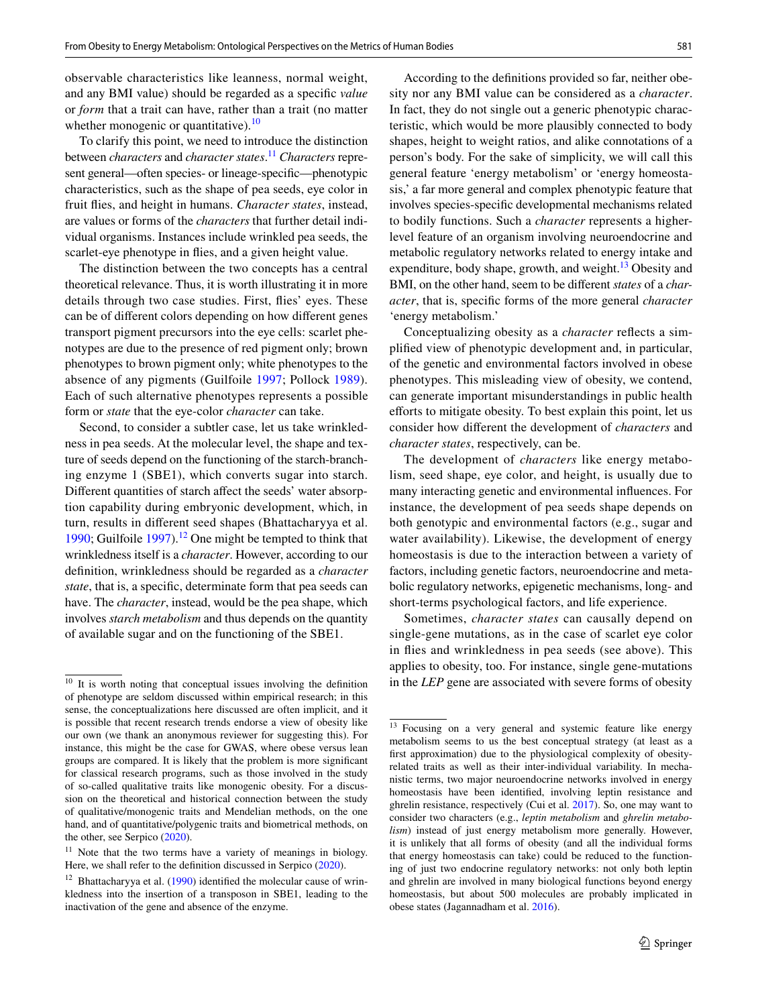observable characteristics like leanness, normal weight, and any BMI value) should be regarded as a specifc *value* or *form* that a trait can have, rather than a trait (no matter whether monogenic or quantitative). $\frac{10}{10}$  $\frac{10}{10}$  $\frac{10}{10}$ 

To clarify this point, we need to introduce the distinction between *characters* and *character states*. [11](#page-4-1) *Characters* represent general—often species- or lineage-specifc—phenotypic characteristics, such as the shape of pea seeds, eye color in fruit fies, and height in humans. *Character states*, instead, are values or forms of the *characters* that further detail individual organisms. Instances include wrinkled pea seeds, the scarlet-eye phenotype in fies, and a given height value.

The distinction between the two concepts has a central theoretical relevance. Thus, it is worth illustrating it in more details through two case studies. First, fies' eyes. These can be of diferent colors depending on how diferent genes transport pigment precursors into the eye cells: scarlet phenotypes are due to the presence of red pigment only; brown phenotypes to brown pigment only; white phenotypes to the absence of any pigments (Guilfoile [1997;](#page-9-36) Pollock [1989](#page-9-37)). Each of such alternative phenotypes represents a possible form or *state* that the eye-color *character* can take.

Second, to consider a subtler case, let us take wrinkledness in pea seeds. At the molecular level, the shape and texture of seeds depend on the functioning of the starch-branching enzyme 1 (SBE1), which converts sugar into starch. Different quantities of starch affect the seeds' water absorption capability during embryonic development, which, in turn, results in diferent seed shapes (Bhattacharyya et al. [1990](#page-8-6); Guilfoile [1997\)](#page-9-36).<sup>[12](#page-4-2)</sup> One might be tempted to think that wrinkledness itself is a *character*. However, according to our defnition, wrinkledness should be regarded as a *character state*, that is, a specifc, determinate form that pea seeds can have. The *character*, instead, would be the pea shape, which involves *starch metabolism* and thus depends on the quantity of available sugar and on the functioning of the SBE1.

According to the defnitions provided so far, neither obesity nor any BMI value can be considered as a *character*. In fact, they do not single out a generic phenotypic characteristic, which would be more plausibly connected to body shapes, height to weight ratios, and alike connotations of a person's body. For the sake of simplicity, we will call this general feature 'energy metabolism' or 'energy homeostasis,' a far more general and complex phenotypic feature that involves species-specifc developmental mechanisms related to bodily functions. Such a *character* represents a higherlevel feature of an organism involving neuroendocrine and metabolic regulatory networks related to energy intake and expenditure, body shape, growth, and weight. $13$  Obesity and BMI, on the other hand, seem to be diferent *states* of a *character*, that is, specifc forms of the more general *character* 'energy metabolism.'

Conceptualizing obesity as a *character* refects a simplifed view of phenotypic development and, in particular, of the genetic and environmental factors involved in obese phenotypes. This misleading view of obesity, we contend, can generate important misunderstandings in public health eforts to mitigate obesity. To best explain this point, let us consider how diferent the development of *characters* and *character states*, respectively, can be.

The development of *characters* like energy metabolism, seed shape, eye color, and height, is usually due to many interacting genetic and environmental infuences. For instance, the development of pea seeds shape depends on both genotypic and environmental factors (e.g., sugar and water availability). Likewise, the development of energy homeostasis is due to the interaction between a variety of factors, including genetic factors, neuroendocrine and metabolic regulatory networks, epigenetic mechanisms, long- and short-terms psychological factors, and life experience.

Sometimes, *character states* can causally depend on single-gene mutations, as in the case of scarlet eye color in fies and wrinkledness in pea seeds (see above). This applies to obesity, too. For instance, single gene-mutations <sup>10</sup> It is worth noting that conceptual issues involving the definition in the *LEP* gene are associated with severe forms of obesity

<span id="page-4-0"></span>of phenotype are seldom discussed within empirical research; in this sense, the conceptualizations here discussed are often implicit, and it is possible that recent research trends endorse a view of obesity like our own (we thank an anonymous reviewer for suggesting this). For instance, this might be the case for GWAS, where obese versus lean groups are compared. It is likely that the problem is more signifcant for classical research programs, such as those involved in the study of so-called qualitative traits like monogenic obesity. For a discussion on the theoretical and historical connection between the study of qualitative/monogenic traits and Mendelian methods, on the one hand, and of quantitative/polygenic traits and biometrical methods, on the other, see Serpico [\(2020](#page-9-20)).

<span id="page-4-1"></span><sup>&</sup>lt;sup>11</sup> Note that the two terms have a variety of meanings in biology. Here, we shall refer to the defnition discussed in Serpico [\(2020](#page-9-20)).

<span id="page-4-2"></span> $12$  Bhattacharyya et al. [\(1990](#page-8-6)) identified the molecular cause of wrinkledness into the insertion of a transposon in SBE1, leading to the inactivation of the gene and absence of the enzyme.

<span id="page-4-3"></span><sup>&</sup>lt;sup>13</sup> Focusing on a very general and systemic feature like energy metabolism seems to us the best conceptual strategy (at least as a frst approximation) due to the physiological complexity of obesityrelated traits as well as their inter-individual variability. In mechanistic terms, two major neuroendocrine networks involved in energy homeostasis have been identifed, involving leptin resistance and ghrelin resistance, respectively (Cui et al. [2017\)](#page-8-7). So, one may want to consider two characters (e.g., *leptin metabolism* and *ghrelin metabolism*) instead of just energy metabolism more generally. However, it is unlikely that all forms of obesity (and all the individual forms that energy homeostasis can take) could be reduced to the functioning of just two endocrine regulatory networks: not only both leptin and ghrelin are involved in many biological functions beyond energy homeostasis, but about 500 molecules are probably implicated in obese states (Jagannadham et al. [2016](#page-9-38)).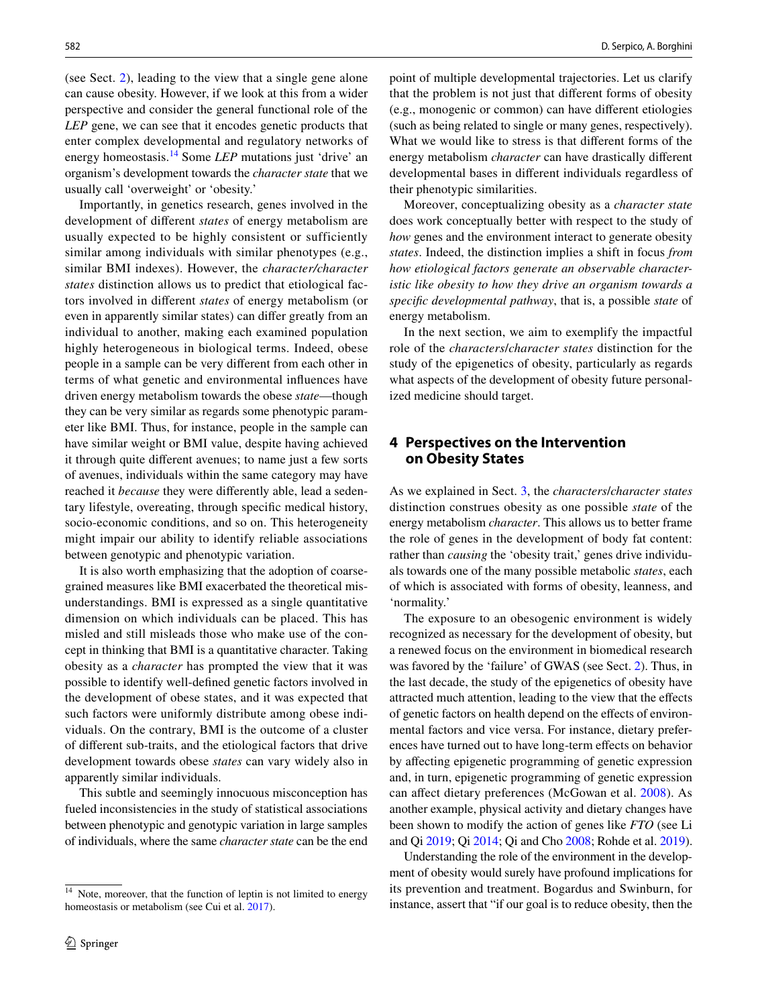(see Sect. [2](#page-2-0)), leading to the view that a single gene alone can cause obesity. However, if we look at this from a wider perspective and consider the general functional role of the *LEP* gene, we can see that it encodes genetic products that enter complex developmental and regulatory networks of energy homeostasis.<sup>[14](#page-5-1)</sup> Some *LEP* mutations just 'drive' an organism's development towards the *character state* that we usually call 'overweight' or 'obesity.'

Importantly, in genetics research, genes involved in the development of diferent *states* of energy metabolism are usually expected to be highly consistent or sufficiently similar among individuals with similar phenotypes (e.g., similar BMI indexes). However, the *character/character states* distinction allows us to predict that etiological factors involved in diferent *states* of energy metabolism (or even in apparently similar states) can difer greatly from an individual to another, making each examined population highly heterogeneous in biological terms. Indeed, obese people in a sample can be very diferent from each other in terms of what genetic and environmental infuences have driven energy metabolism towards the obese *state*—though they can be very similar as regards some phenotypic parameter like BMI. Thus, for instance, people in the sample can have similar weight or BMI value, despite having achieved it through quite diferent avenues; to name just a few sorts of avenues, individuals within the same category may have reached it *because* they were diferently able, lead a sedentary lifestyle, overeating, through specifc medical history, socio-economic conditions, and so on. This heterogeneity might impair our ability to identify reliable associations between genotypic and phenotypic variation.

It is also worth emphasizing that the adoption of coarsegrained measures like BMI exacerbated the theoretical misunderstandings. BMI is expressed as a single quantitative dimension on which individuals can be placed. This has misled and still misleads those who make use of the concept in thinking that BMI is a quantitative character. Taking obesity as a *character* has prompted the view that it was possible to identify well-defned genetic factors involved in the development of obese states, and it was expected that such factors were uniformly distribute among obese individuals. On the contrary, BMI is the outcome of a cluster of diferent sub-traits, and the etiological factors that drive development towards obese *states* can vary widely also in apparently similar individuals.

This subtle and seemingly innocuous misconception has fueled inconsistencies in the study of statistical associations between phenotypic and genotypic variation in large samples of individuals, where the same *character state* can be the end

point of multiple developmental trajectories. Let us clarify that the problem is not just that diferent forms of obesity (e.g., monogenic or common) can have diferent etiologies (such as being related to single or many genes, respectively). What we would like to stress is that diferent forms of the energy metabolism *character* can have drastically diferent developmental bases in diferent individuals regardless of their phenotypic similarities.

Moreover, conceptualizing obesity as a *character state* does work conceptually better with respect to the study of *how* genes and the environment interact to generate obesity *states*. Indeed, the distinction implies a shift in focus *from how etiological factors generate an observable characteristic like obesity to how they drive an organism towards a specifc developmental pathway*, that is, a possible *state* of energy metabolism.

In the next section, we aim to exemplify the impactful role of the *characters*/*character states* distinction for the study of the epigenetics of obesity, particularly as regards what aspects of the development of obesity future personalized medicine should target.

## <span id="page-5-0"></span>**4 Perspectives on the Intervention on Obesity States**

As we explained in Sect. [3](#page-3-0), the *characters*/*character states* distinction construes obesity as one possible *state* of the energy metabolism *character*. This allows us to better frame the role of genes in the development of body fat content: rather than *causing* the 'obesity trait,' genes drive individuals towards one of the many possible metabolic *states*, each of which is associated with forms of obesity, leanness, and 'normality.'

The exposure to an obesogenic environment is widely recognized as necessary for the development of obesity, but a renewed focus on the environment in biomedical research was favored by the 'failure' of GWAS (see Sect. [2\)](#page-2-0). Thus, in the last decade, the study of the epigenetics of obesity have attracted much attention, leading to the view that the efects of genetic factors on health depend on the efects of environmental factors and vice versa. For instance, dietary preferences have turned out to have long-term efects on behavior by afecting epigenetic programming of genetic expression and, in turn, epigenetic programming of genetic expression can afect dietary preferences (McGowan et al. [2008\)](#page-9-39). As another example, physical activity and dietary changes have been shown to modify the action of genes like *FTO* (see Li and Qi [2019;](#page-9-29) Qi [2014;](#page-9-40) Qi and Cho [2008](#page-9-13); Rohde et al. [2019](#page-9-18)).

Understanding the role of the environment in the development of obesity would surely have profound implications for its prevention and treatment. Bogardus and Swinburn, for instance, assert that "if our goal is to reduce obesity, then the

<span id="page-5-1"></span><sup>&</sup>lt;sup>14</sup> Note, moreover, that the function of leptin is not limited to energy homeostasis or metabolism (see Cui et al. [2017\)](#page-8-7).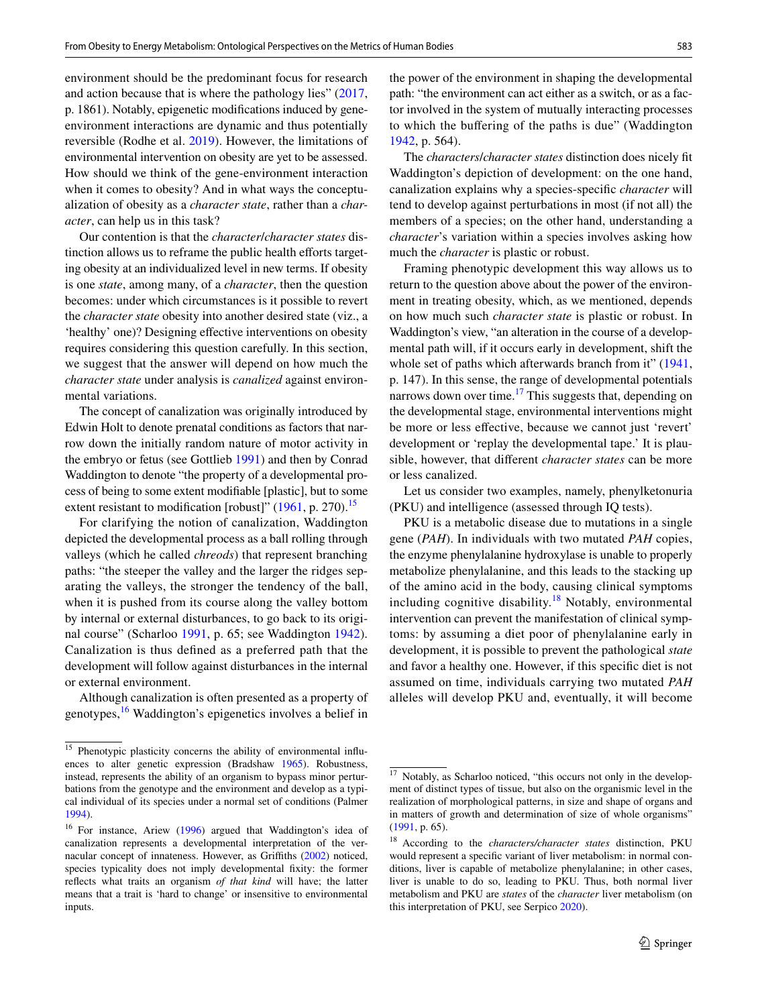environment should be the predominant focus for research and action because that is where the pathology lies" [\(2017,](#page-8-8) p. 1861). Notably, epigenetic modifcations induced by geneenvironment interactions are dynamic and thus potentially reversible (Rodhe et al. [2019\)](#page-9-18). However, the limitations of environmental intervention on obesity are yet to be assessed.

How should we think of the gene-environment interaction when it comes to obesity? And in what ways the conceptualization of obesity as a *character state*, rather than a *character*, can help us in this task?

Our contention is that the *character*/*character states* distinction allows us to reframe the public health efforts targeting obesity at an individualized level in new terms. If obesity is one *state*, among many, of a *character*, then the question becomes: under which circumstances is it possible to revert the *character state* obesity into another desired state (viz., a 'healthy' one)? Designing effective interventions on obesity requires considering this question carefully. In this section, we suggest that the answer will depend on how much the *character state* under analysis is *canalized* against environmental variations.

The concept of canalization was originally introduced by Edwin Holt to denote prenatal conditions as factors that narrow down the initially random nature of motor activity in the embryo or fetus (see Gottlieb [1991\)](#page-9-41) and then by Conrad Waddington to denote "the property of a developmental process of being to some extent modifable [plastic], but to some extent resistant to modification [robust]"  $(1961, p. 270).$  $(1961, p. 270).$ <sup>[15](#page-6-0)</sup>

For clarifying the notion of canalization, Waddington depicted the developmental process as a ball rolling through valleys (which he called *chreods*) that represent branching paths: "the steeper the valley and the larger the ridges separating the valleys, the stronger the tendency of the ball, when it is pushed from its course along the valley bottom by internal or external disturbances, to go back to its original course" (Scharloo [1991,](#page-9-43) p. 65; see Waddington [1942](#page-9-44)). Canalization is thus defned as a preferred path that the development will follow against disturbances in the internal or external environment.

Although canalization is often presented as a property of genotypes,<sup>16</sup> Waddington's epigenetics involves a belief in the power of the environment in shaping the developmental path: "the environment can act either as a switch, or as a factor involved in the system of mutually interacting processes to which the bufering of the paths is due" (Waddington [1942](#page-9-44), p. 564).

The *characters*/*character states* distinction does nicely ft Waddington's depiction of development: on the one hand, canalization explains why a species-specifc *character* will tend to develop against perturbations in most (if not all) the members of a species; on the other hand, understanding a *character*'s variation within a species involves asking how much the *character* is plastic or robust.

Framing phenotypic development this way allows us to return to the question above about the power of the environment in treating obesity, which, as we mentioned, depends on how much such *character state* is plastic or robust. In Waddington's view, "an alteration in the course of a developmental path will, if it occurs early in development, shift the whole set of paths which afterwards branch from it" ([1941,](#page-9-45) p. 147). In this sense, the range of developmental potentials narrows down over time.<sup>17</sup> This suggests that, depending on the developmental stage, environmental interventions might be more or less efective, because we cannot just 'revert' development or 'replay the developmental tape.' It is plausible, however, that diferent *character states* can be more or less canalized.

Let us consider two examples, namely, phenylketonuria (PKU) and intelligence (assessed through IQ tests).

PKU is a metabolic disease due to mutations in a single gene (*PAH*). In individuals with two mutated *PAH* copies, the enzyme phenylalanine hydroxylase is unable to properly metabolize phenylalanine, and this leads to the stacking up of the amino acid in the body, causing clinical symptoms including cognitive disability.<sup>[18](#page-6-3)</sup> Notably, environmental intervention can prevent the manifestation of clinical symptoms: by assuming a diet poor of phenylalanine early in development, it is possible to prevent the pathological *state* and favor a healthy one. However, if this specifc diet is not assumed on time, individuals carrying two mutated *PAH* alleles will develop PKU and, eventually, it will become

<span id="page-6-0"></span><sup>&</sup>lt;sup>15</sup> Phenotypic plasticity concerns the ability of environmental influences to alter genetic expression (Bradshaw [1965](#page-8-9)). Robustness, instead, represents the ability of an organism to bypass minor perturbations from the genotype and the environment and develop as a typical individual of its species under a normal set of conditions (Palmer [1994](#page-9-46)).

<span id="page-6-1"></span><sup>&</sup>lt;sup>16</sup> For instance, Ariew [\(1996](#page-8-10)) argued that Waddington's idea of canalization represents a developmental interpretation of the vernacular concept of innateness. However, as Grifths [\(2002](#page-9-47)) noticed, species typicality does not imply developmental fxity: the former refects what traits an organism *of that kind* will have; the latter means that a trait is 'hard to change' or insensitive to environmental inputs.

<span id="page-6-2"></span><sup>&</sup>lt;sup>17</sup> Notably, as Scharloo noticed, "this occurs not only in the development of distinct types of tissue, but also on the organismic level in the realization of morphological patterns, in size and shape of organs and in matters of growth and determination of size of whole organisms" ([1991,](#page-9-43) p. 65).

<span id="page-6-3"></span><sup>18</sup> According to the *characters/character states* distinction, PKU would represent a specifc variant of liver metabolism: in normal conditions, liver is capable of metabolize phenylalanine; in other cases, liver is unable to do so, leading to PKU. Thus, both normal liver metabolism and PKU are *states* of the *character* liver metabolism (on this interpretation of PKU, see Serpico [2020](#page-9-20)).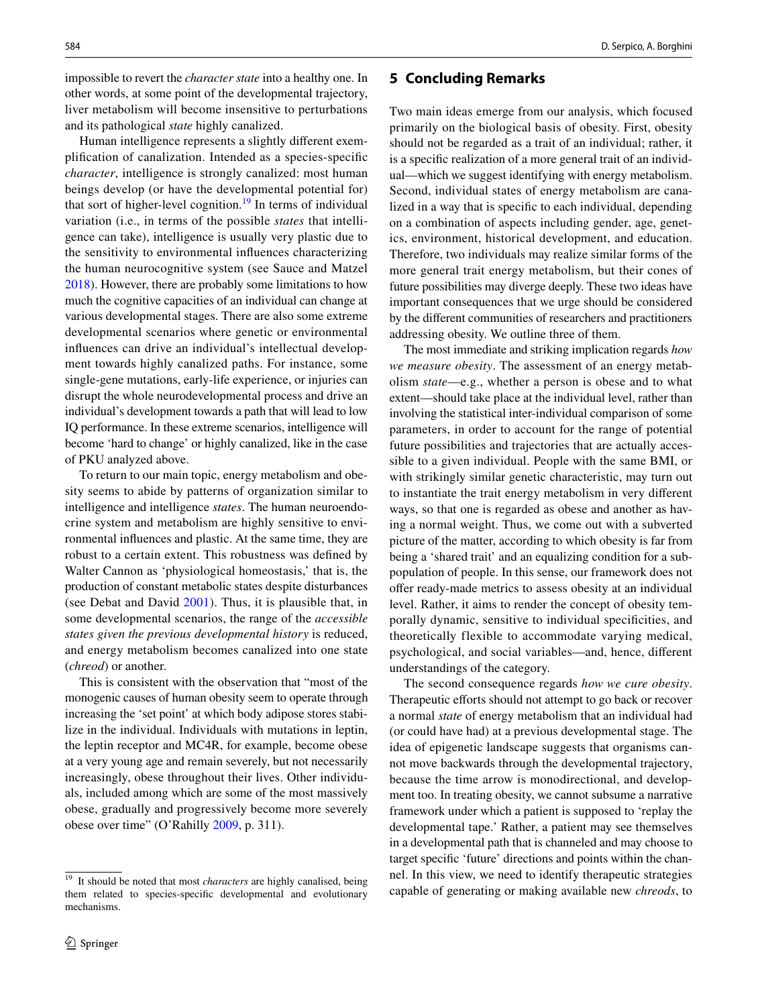impossible to revert the *character state* into a healthy one. In other words, at some point of the developmental trajectory, liver metabolism will become insensitive to perturbations and its pathological *state* highly canalized.

Human intelligence represents a slightly diferent exemplifcation of canalization. Intended as a species-specifc *character*, intelligence is strongly canalized: most human beings develop (or have the developmental potential for) that sort of higher-level cognition.<sup>[19](#page-7-0)</sup> In terms of individual variation (i.e., in terms of the possible *states* that intelligence can take), intelligence is usually very plastic due to the sensitivity to environmental infuences characterizing the human neurocognitive system (see Sauce and Matzel [2018](#page-9-48)). However, there are probably some limitations to how much the cognitive capacities of an individual can change at various developmental stages. There are also some extreme developmental scenarios where genetic or environmental infuences can drive an individual's intellectual development towards highly canalized paths. For instance, some single-gene mutations, early-life experience, or injuries can disrupt the whole neurodevelopmental process and drive an individual's development towards a path that will lead to low IQ performance. In these extreme scenarios, intelligence will become 'hard to change' or highly canalized, like in the case of PKU analyzed above.

To return to our main topic, energy metabolism and obesity seems to abide by patterns of organization similar to intelligence and intelligence *states*. The human neuroendocrine system and metabolism are highly sensitive to environmental infuences and plastic. At the same time, they are robust to a certain extent. This robustness was defned by Walter Cannon as 'physiological homeostasis,' that is, the production of constant metabolic states despite disturbances (see Debat and David [2001\)](#page-8-11). Thus, it is plausible that, in some developmental scenarios, the range of the *accessible states given the previous developmental history* is reduced, and energy metabolism becomes canalized into one state (*chreod*) or another.

This is consistent with the observation that "most of the monogenic causes of human obesity seem to operate through increasing the 'set point' at which body adipose stores stabilize in the individual. Individuals with mutations in leptin, the leptin receptor and MC4R, for example, become obese at a very young age and remain severely, but not necessarily increasingly, obese throughout their lives. Other individuals, included among which are some of the most massively obese, gradually and progressively become more severely obese over time" (O'Rahilly [2009,](#page-9-16) p. 311).

#### **5 Concluding Remarks**

Two main ideas emerge from our analysis, which focused primarily on the biological basis of obesity. First, obesity should not be regarded as a trait of an individual; rather, it is a specifc realization of a more general trait of an individual—which we suggest identifying with energy metabolism. Second, individual states of energy metabolism are canalized in a way that is specifc to each individual, depending on a combination of aspects including gender, age, genetics, environment, historical development, and education. Therefore, two individuals may realize similar forms of the more general trait energy metabolism, but their cones of future possibilities may diverge deeply. These two ideas have important consequences that we urge should be considered by the diferent communities of researchers and practitioners addressing obesity. We outline three of them.

The most immediate and striking implication regards *how we measure obesity*. The assessment of an energy metabolism *state*—e.g., whether a person is obese and to what extent—should take place at the individual level, rather than involving the statistical inter-individual comparison of some parameters, in order to account for the range of potential future possibilities and trajectories that are actually accessible to a given individual. People with the same BMI, or with strikingly similar genetic characteristic, may turn out to instantiate the trait energy metabolism in very diferent ways, so that one is regarded as obese and another as having a normal weight. Thus, we come out with a subverted picture of the matter, according to which obesity is far from being a 'shared trait' and an equalizing condition for a subpopulation of people. In this sense, our framework does not offer ready-made metrics to assess obesity at an individual level. Rather, it aims to render the concept of obesity temporally dynamic, sensitive to individual specifcities, and theoretically flexible to accommodate varying medical, psychological, and social variables—and, hence, diferent understandings of the category.

The second consequence regards *how we cure obesity*. Therapeutic efforts should not attempt to go back or recover a normal *state* of energy metabolism that an individual had (or could have had) at a previous developmental stage. The idea of epigenetic landscape suggests that organisms cannot move backwards through the developmental trajectory, because the time arrow is monodirectional, and development too. In treating obesity, we cannot subsume a narrative framework under which a patient is supposed to 'replay the developmental tape.' Rather, a patient may see themselves in a developmental path that is channeled and may choose to target specifc 'future' directions and points within the channel. In this view, we need to identify therapeutic strategies capable of generating or making available new *chreods*, to

<span id="page-7-0"></span><sup>19</sup> It should be noted that most *characters* are highly canalised, being them related to species-specifc developmental and evolutionary mechanisms.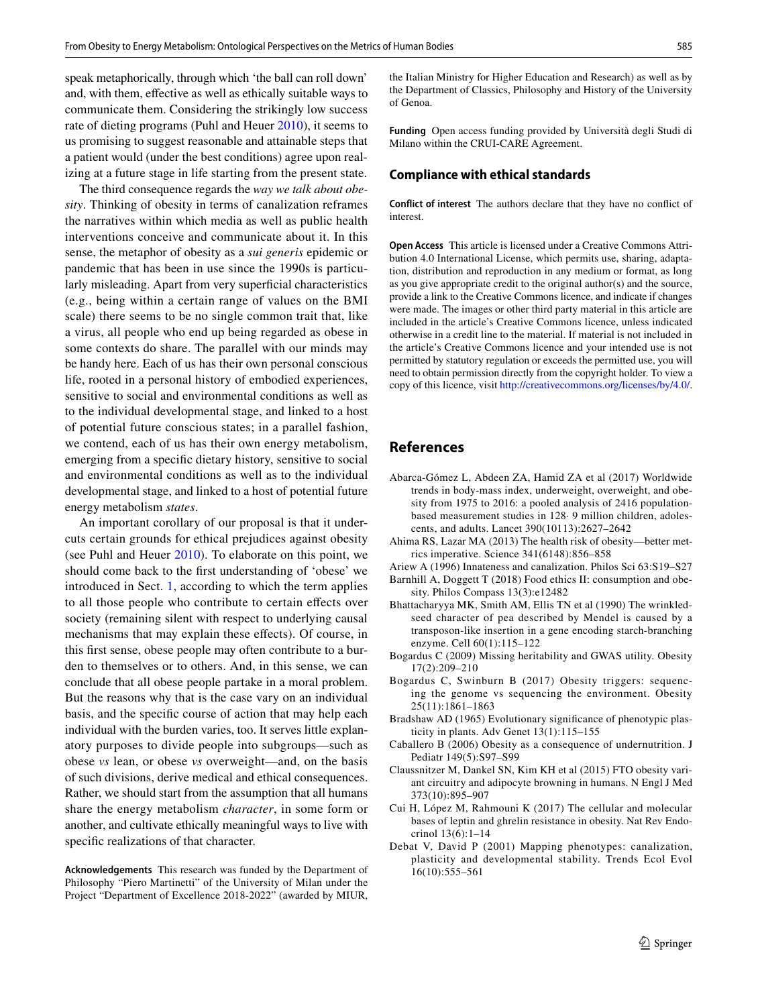speak metaphorically, through which 'the ball can roll down' and, with them, effective as well as ethically suitable ways to communicate them. Considering the strikingly low success rate of dieting programs (Puhl and Heuer [2010](#page-9-49)), it seems to us promising to suggest reasonable and attainable steps that a patient would (under the best conditions) agree upon realizing at a future stage in life starting from the present state.

The third consequence regards the *way we talk about obesity*. Thinking of obesity in terms of canalization reframes the narratives within which media as well as public health interventions conceive and communicate about it. In this sense, the metaphor of obesity as a *sui generis* epidemic or pandemic that has been in use since the 1990s is particularly misleading. Apart from very superficial characteristics (e.g., being within a certain range of values on the BMI scale) there seems to be no single common trait that, like a virus, all people who end up being regarded as obese in some contexts do share. The parallel with our minds may be handy here. Each of us has their own personal conscious life, rooted in a personal history of embodied experiences, sensitive to social and environmental conditions as well as to the individual developmental stage, and linked to a host of potential future conscious states; in a parallel fashion, we contend, each of us has their own energy metabolism, emerging from a specifc dietary history, sensitive to social and environmental conditions as well as to the individual developmental stage, and linked to a host of potential future energy metabolism *states*.

An important corollary of our proposal is that it undercuts certain grounds for ethical prejudices against obesity (see Puhl and Heuer [2010](#page-9-49)). To elaborate on this point, we should come back to the frst understanding of 'obese' we introduced in Sect. [1](#page-0-1), according to which the term applies to all those people who contribute to certain efects over society (remaining silent with respect to underlying causal mechanisms that may explain these efects). Of course, in this frst sense, obese people may often contribute to a burden to themselves or to others. And, in this sense, we can conclude that all obese people partake in a moral problem. But the reasons why that is the case vary on an individual basis, and the specifc course of action that may help each individual with the burden varies, too. It serves little explanatory purposes to divide people into subgroups—such as obese *vs* lean, or obese *vs* overweight—and, on the basis of such divisions, derive medical and ethical consequences. Rather, we should start from the assumption that all humans share the energy metabolism *character*, in some form or another, and cultivate ethically meaningful ways to live with specifc realizations of that character.

**Acknowledgements** This research was funded by the Department of Philosophy "Piero Martinetti" of the University of Milan under the Project "Department of Excellence 2018-2022" (awarded by MIUR,

the Italian Ministry for Higher Education and Research) as well as by the Department of Classics, Philosophy and History of the University of Genoa.

**Funding** Open access funding provided by Università degli Studi di Milano within the CRUI-CARE Agreement.

#### **Compliance with ethical standards**

**Conflict of interest** The authors declare that they have no confict of interest.

**Open Access** This article is licensed under a Creative Commons Attribution 4.0 International License, which permits use, sharing, adaptation, distribution and reproduction in any medium or format, as long as you give appropriate credit to the original author(s) and the source, provide a link to the Creative Commons licence, and indicate if changes were made. The images or other third party material in this article are included in the article's Creative Commons licence, unless indicated otherwise in a credit line to the material. If material is not included in the article's Creative Commons licence and your intended use is not permitted by statutory regulation or exceeds the permitted use, you will need to obtain permission directly from the copyright holder. To view a copy of this licence, visit<http://creativecommons.org/licenses/by/4.0/>.

#### **References**

- <span id="page-8-0"></span>Abarca-Gómez L, Abdeen ZA, Hamid ZA et al (2017) Worldwide trends in body-mass index, underweight, overweight, and obesity from 1975 to 2016: a pooled analysis of 2416 populationbased measurement studies in 128· 9 million children, adolescents, and adults. Lancet 390(10113):2627–2642
- <span id="page-8-2"></span>Ahima RS, Lazar MA (2013) The health risk of obesity—better metrics imperative. Science 341(6148):856–858
- <span id="page-8-10"></span>Ariew A (1996) Innateness and canalization. Philos Sci 63:S19–S27
- <span id="page-8-3"></span>Barnhill A, Doggett T (2018) Food ethics II: consumption and obesity. Philos Compass 13(3):e12482
- <span id="page-8-6"></span>Bhattacharyya MK, Smith AM, Ellis TN et al (1990) The wrinkledseed character of pea described by Mendel is caused by a transposon-like insertion in a gene encoding starch-branching enzyme. Cell 60(1):115–122
- <span id="page-8-5"></span>Bogardus C (2009) Missing heritability and GWAS utility. Obesity 17(2):209–210
- <span id="page-8-8"></span>Bogardus C, Swinburn B (2017) Obesity triggers: sequencing the genome vs sequencing the environment. Obesity 25(11):1861–1863
- <span id="page-8-9"></span>Bradshaw AD (1965) Evolutionary signifcance of phenotypic plasticity in plants. Adv Genet 13(1):115–155
- <span id="page-8-1"></span>Caballero B (2006) Obesity as a consequence of undernutrition. J Pediatr 149(5):S97–S99
- <span id="page-8-4"></span>Claussnitzer M, Dankel SN, Kim KH et al (2015) FTO obesity variant circuitry and adipocyte browning in humans. N Engl J Med 373(10):895–907
- <span id="page-8-7"></span>Cui H, López M, Rahmouni K (2017) The cellular and molecular bases of leptin and ghrelin resistance in obesity. Nat Rev Endocrinol 13(6):1–14
- <span id="page-8-11"></span>Debat V, David P (2001) Mapping phenotypes: canalization, plasticity and developmental stability. Trends Ecol Evol 16(10):555–561